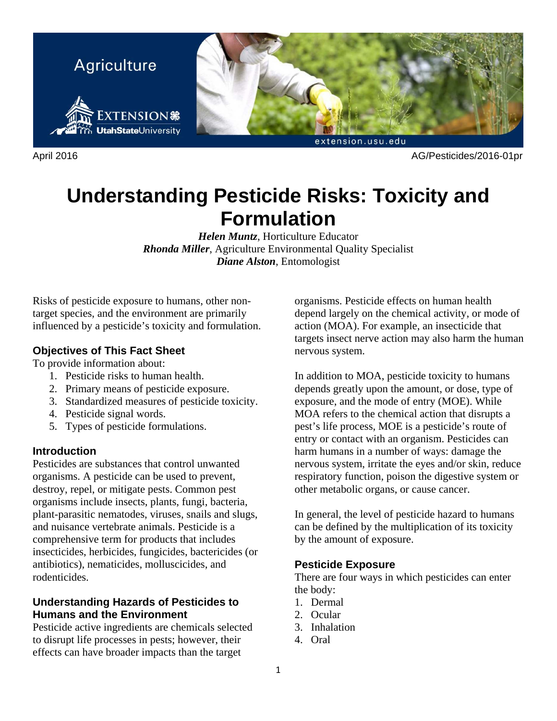

April 2016 AG/Pesticides/2016-01pr

# **Understanding Pesticide Risks: Toxicity and Formulation**

*Helen Muntz*, Horticulture Educator *Rhonda Miller*, Agriculture Environmental Quality Specialist *Diane Alston*, Entomologist

Risks of pesticide exposure to humans, other nontarget species, and the environment are primarily influenced by a pesticide's toxicity and formulation.

# **Objectives of This Fact Sheet**

To provide information about:

- 1. Pesticide risks to human health.
- 2. Primary means of pesticide exposure.
- 3. Standardized measures of pesticide toxicity.
- 4. Pesticide signal words.
- 5. Types of pesticide formulations.

## **Introduction**

Pesticides are substances that control unwanted organisms. A pesticide can be used to prevent, destroy, repel, or mitigate pests. Common pest organisms include insects, plants, fungi, bacteria, plant-parasitic nematodes, viruses, snails and slugs, and nuisance vertebrate animals. Pesticide is a comprehensive term for products that includes insecticides, herbicides, fungicides, bactericides (or antibiotics), nematicides, molluscicides, and rodenticides.

## **Understanding Hazards of Pesticides to Humans and the Environment**

Pesticide active ingredients are chemicals selected to disrupt life processes in pests; however, their effects can have broader impacts than the target

organisms. Pesticide effects on human health depend largely on the chemical activity, or mode of action (MOA). For example, an insecticide that targets insect nerve action may also harm the human nervous system.

In addition to MOA, pesticide toxicity to humans depends greatly upon the amount, or dose, type of exposure, and the mode of entry (MOE). While MOA refers to the chemical action that disrupts a pest's life process, MOE is a pesticide's route of entry or contact with an organism. Pesticides can harm humans in a number of ways: damage the nervous system, irritate the eyes and/or skin, reduce respiratory function, poison the digestive system or other metabolic organs, or cause cancer.

In general, the level of pesticide hazard to humans can be defined by the multiplication of its toxicity by the amount of exposure.

## **Pesticide Exposure**

There are four ways in which pesticides can enter the body:

- 1. Dermal
- 2. Ocular
- 3. Inhalation
- 4. Oral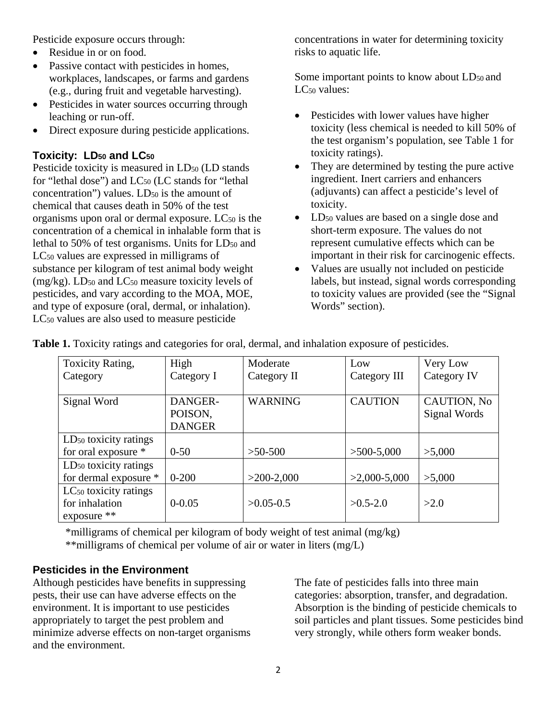Pesticide exposure occurs through:

- Residue in or on food.
- Passive contact with pesticides in homes. workplaces, landscapes, or farms and gardens (e.g., during fruit and vegetable harvesting).
- Pesticides in water sources occurring through leaching or run-off.
- Direct exposure during pesticide applications.

# **Toxicity: LD<sub>50</sub> and LC<sub>50</sub>**

Pesticide toxicity is measured in LD<sub>50</sub> (LD stands) for "lethal dose") and LC<sub>50</sub> (LC stands for "lethal concentration") values.  $LD_{50}$  is the amount of chemical that causes death in 50% of the test organisms upon oral or dermal exposure. LC50 is the concentration of a chemical in inhalable form that is lethal to 50% of test organisms. Units for  $LD_{50}$  and LC50 values are expressed in milligrams of substance per kilogram of test animal body weight  $(mg/kg)$ . LD<sub>50</sub> and LC<sub>50</sub> measure toxicity levels of pesticides, and vary according to the MOA, MOE, and type of exposure (oral, dermal, or inhalation). LC50 values are also used to measure pesticide

concentrations in water for determining toxicity risks to aquatic life.

Some important points to know about LD<sub>50</sub> and LC<sub>50</sub> values:

- Pesticides with lower values have higher toxicity (less chemical is needed to kill 50% of the test organism's population, see Table 1 for toxicity ratings).
- They are determined by testing the pure active ingredient. Inert carriers and enhancers (adjuvants) can affect a pesticide's level of toxicity.
- LD<sub>50</sub> values are based on a single dose and short-term exposure. The values do not represent cumulative effects which can be important in their risk for carcinogenic effects.
- Values are usually not included on pesticide labels, but instead, signal words corresponding to toxicity values are provided (see the "Signal Words" section).

| <b>Toxicity Rating,</b>           | High          | Moderate       | Low            | Very Low           |
|-----------------------------------|---------------|----------------|----------------|--------------------|
| Category                          | Category I    | Category II    | Category III   | Category IV        |
|                                   |               |                |                |                    |
| Signal Word                       | DANGER-       | <b>WARNING</b> | <b>CAUTION</b> | <b>CAUTION, No</b> |
|                                   | POISON,       |                |                | Signal Words       |
|                                   | <b>DANGER</b> |                |                |                    |
| LD <sub>50</sub> toxicity ratings |               |                |                |                    |
| for oral exposure *               | $0 - 50$      | $>50-500$      | $>500-5,000$   | >5,000             |
| LD <sub>50</sub> toxicity ratings |               |                |                |                    |
| for dermal exposure *             | $0 - 200$     | $>200-2,000$   | $>2,000-5,000$ | >5,000             |
| LC <sub>50</sub> toxicity ratings |               |                |                |                    |
| for inhalation                    | $0 - 0.05$    | $>0.05 - 0.5$  | $>0.5-2.0$     | >2.0               |
| exposure $**$                     |               |                |                |                    |

**Table 1.** Toxicity ratings and categories for oral, dermal, and inhalation exposure of pesticides.

\*milligrams of chemical per kilogram of body weight of test animal (mg/kg)

\*\*milligrams of chemical per volume of air or water in liters (mg/L)

# **Pesticides in the Environment**

Although pesticides have benefits in suppressing pests, their use can have adverse effects on the environment. It is important to use pesticides appropriately to target the pest problem and minimize adverse effects on non-target organisms and the environment.

The fate of pesticides falls into three main categories: absorption, transfer, and degradation. Absorption is the binding of pesticide chemicals to soil particles and plant tissues. Some pesticides bind very strongly, while others form weaker bonds.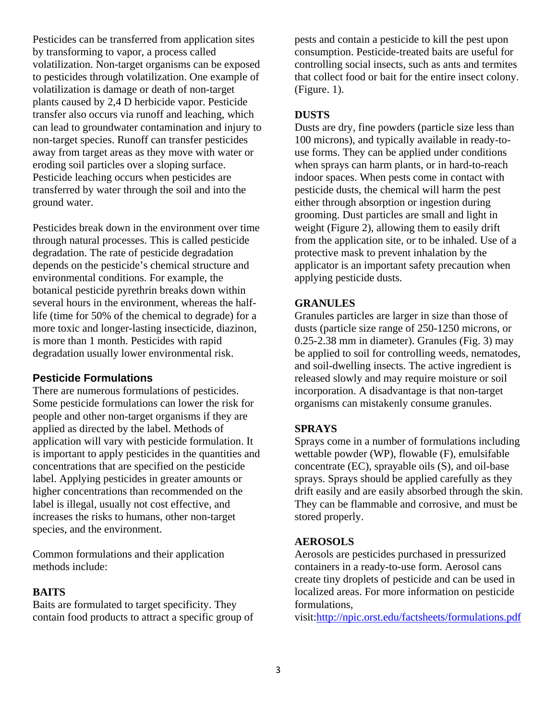Pesticides can be transferred from application sites by transforming to vapor, a process called volatilization. Non-target organisms can be exposed to pesticides through volatilization. One example of volatilization is damage or death of non-target plants caused by 2,4 D herbicide vapor. Pesticide transfer also occurs via runoff and leaching, which can lead to groundwater contamination and injury to non-target species. Runoff can transfer pesticides away from target areas as they move with water or eroding soil particles over a sloping surface. Pesticide leaching occurs when pesticides are transferred by water through the soil and into the ground water.

Pesticides break down in the environment over time through natural processes. This is called pesticide degradation. The rate of pesticide degradation depends on the pesticide's chemical structure and environmental conditions. For example, the botanical pesticide pyrethrin breaks down within several hours in the environment, whereas the halflife (time for 50% of the chemical to degrade) for a more toxic and longer-lasting insecticide, diazinon, is more than 1 month. Pesticides with rapid degradation usually lower environmental risk.

## **Pesticide Formulations**

There are numerous formulations of pesticides. Some pesticide formulations can lower the risk for people and other non-target organisms if they are applied as directed by the label. Methods of application will vary with pesticide formulation. It is important to apply pesticides in the quantities and concentrations that are specified on the pesticide label. Applying pesticides in greater amounts or higher concentrations than recommended on the label is illegal, usually not cost effective, and increases the risks to humans, other non-target species, and the environment.

Common formulations and their application methods include:

## **BAITS**

Baits are formulated to target specificity. They contain food products to attract a specific group of pests and contain a pesticide to kill the pest upon consumption. Pesticide-treated baits are useful for controlling social insects, such as ants and termites that collect food or bait for the entire insect colony. (Figure. 1).

#### **DUSTS**

Dusts are dry, fine powders (particle size less than 100 microns), and typically available in ready-touse forms. They can be applied under conditions when sprays can harm plants, or in hard-to-reach indoor spaces. When pests come in contact with pesticide dusts, the chemical will harm the pest either through absorption or ingestion during grooming. Dust particles are small and light in weight (Figure 2), allowing them to easily drift from the application site, or to be inhaled. Use of a protective mask to prevent inhalation by the applicator is an important safety precaution when applying pesticide dusts.

## **GRANULES**

Granules particles are larger in size than those of dusts (particle size range of 250-1250 microns, or 0.25-2.38 mm in diameter). Granules (Fig. 3) may be applied to soil for controlling weeds, nematodes, and soil-dwelling insects. The active ingredient is released slowly and may require moisture or soil incorporation. A disadvantage is that non-target organisms can mistakenly consume granules.

## **SPRAYS**

Sprays come in a number of formulations including wettable powder (WP), flowable (F), emulsifable concentrate (EC), sprayable oils (S), and oil-base sprays. Sprays should be applied carefully as they drift easily and are easily absorbed through the skin. They can be flammable and corrosive, and must be stored properly.

## **AEROSOLS**

Aerosols are pesticides purchased in pressurized containers in a ready-to-use form. Aerosol cans create tiny droplets of pesticide and can be used in localized areas. For more information on pesticide formulations,

visit:http://npic.orst.edu/factsheets/formulations.pdf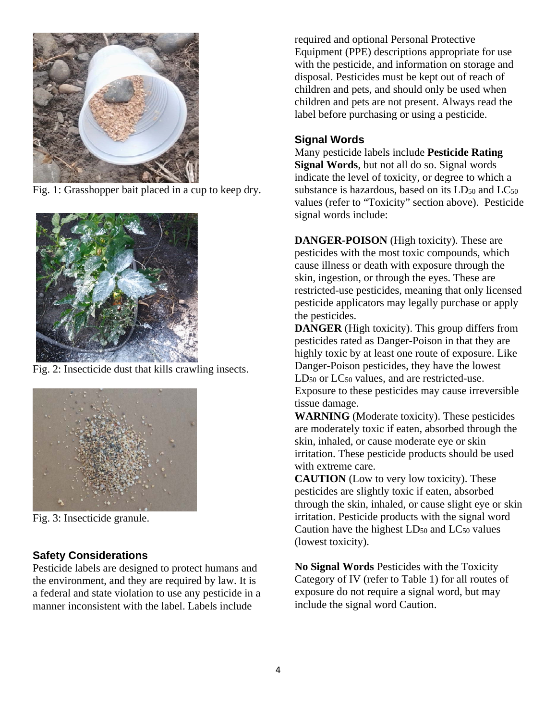

Fig. 1: Grasshopper bait placed in a cup to keep dry.



Fig. 2: Insecticide dust that kills crawling insects.



Fig. 3: Insecticide granule.

# **Safety Considerations**

Pesticide labels are designed to protect humans and the environment, and they are required by law. It is a federal and state violation to use any pesticide in a manner inconsistent with the label. Labels include

required and optional Personal Protective Equipment (PPE) descriptions appropriate for use with the pesticide, and information on storage and disposal. Pesticides must be kept out of reach of children and pets, and should only be used when children and pets are not present. Always read the label before purchasing or using a pesticide.

## **Signal Words**

Many pesticide labels include **Pesticide Rating Signal Words**, but not all do so. Signal words indicate the level of toxicity, or degree to which a substance is hazardous, based on its  $LD_{50}$  and  $LC_{50}$ values (refer to "Toxicity" section above). Pesticide signal words include:

**DANGER-POISON** (High toxicity). These are pesticides with the most toxic compounds, which cause illness or death with exposure through the skin, ingestion, or through the eyes. These are restricted-use pesticides, meaning that only licensed pesticide applicators may legally purchase or apply the pesticides.

**DANGER** (High toxicity). This group differs from pesticides rated as Danger-Poison in that they are highly toxic by at least one route of exposure. Like Danger-Poison pesticides, they have the lowest LD<sub>50</sub> or LC<sub>50</sub> values, and are restricted-use. Exposure to these pesticides may cause irreversible tissue damage.

**WARNING** (Moderate toxicity). These pesticides are moderately toxic if eaten, absorbed through the skin, inhaled, or cause moderate eye or skin irritation. These pesticide products should be used with extreme care.

**CAUTION** (Low to very low toxicity). These pesticides are slightly toxic if eaten, absorbed through the skin, inhaled, or cause slight eye or skin irritation. Pesticide products with the signal word Caution have the highest  $LD_{50}$  and  $LC_{50}$  values (lowest toxicity).

**No Signal Words** Pesticides with the Toxicity Category of IV (refer to Table 1) for all routes of exposure do not require a signal word, but may include the signal word Caution.